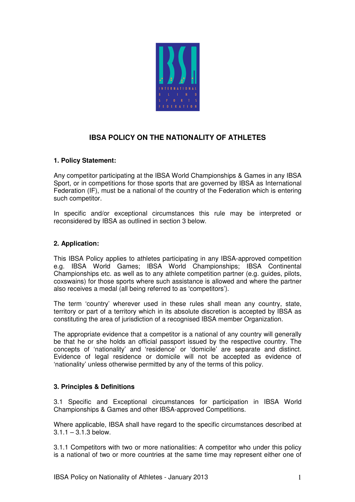

# **IBSA POLICY ON THE NATIONALITY OF ATHLETES**

## **1. Policy Statement:**

Any competitor participating at the IBSA World Championships & Games in any IBSA Sport, or in competitions for those sports that are governed by IBSA as International Federation (IF), must be a national of the country of the Federation which is entering such competitor.

In specific and/or exceptional circumstances this rule may be interpreted or reconsidered by IBSA as outlined in section 3 below.

### **2. Application:**

This IBSA Policy applies to athletes participating in any IBSA-approved competition e.g. IBSA World Games; IBSA World Championships; IBSA Continental Championships etc. as well as to any athlete competition partner (e.g. guides, pilots, coxswains) for those sports where such assistance is allowed and where the partner also receives a medal (all being referred to as 'competitors').

The term 'country' wherever used in these rules shall mean any country, state, territory or part of a territory which in its absolute discretion is accepted by IBSA as constituting the area of jurisdiction of a recognised IBSA member Organization.

The appropriate evidence that a competitor is a national of any country will generally be that he or she holds an official passport issued by the respective country. The concepts of 'nationality' and 'residence' or 'domicile' are separate and distinct. Evidence of legal residence or domicile will not be accepted as evidence of 'nationality' unless otherwise permitted by any of the terms of this policy.

## **3. Principles & Definitions**

3.1 Specific and Exceptional circumstances for participation in IBSA World Championships & Games and other IBSA-approved Competitions.

Where applicable, IBSA shall have regard to the specific circumstances described at  $3.1.1 - 3.1.3$  below.

3.1.1 Competitors with two or more nationalities: A competitor who under this policy is a national of two or more countries at the same time may represent either one of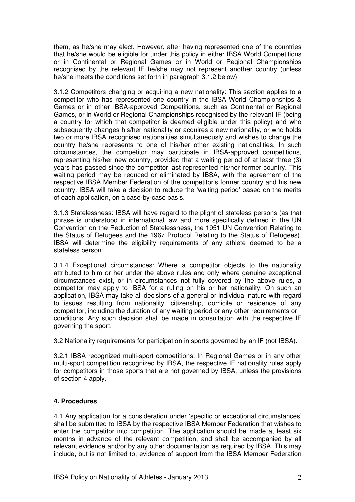them, as he/she may elect. However, after having represented one of the countries that he/she would be eligible for under this policy in either IBSA World Competitions or in Continental or Regional Games or in World or Regional Championships recognised by the relevant IF he/she may not represent another country (unless he/she meets the conditions set forth in paragraph 3.1.2 below).

3.1.2 Competitors changing or acquiring a new nationality: This section applies to a competitor who has represented one country in the IBSA World Championships & Games or in other IBSA-approved Competitions, such as Continental or Regional Games, or in World or Regional Championships recognised by the relevant IF (being a country for which that competitor is deemed eligible under this policy) and who subsequently changes his/her nationality or acquires a new nationality, or who holds two or more IBSA recognised nationalities simultaneously and wishes to change the country he/she represents to one of his/her other existing nationalities. In such circumstances, the competitor may participate in IBSA-approved competitions, representing his/her new country, provided that a waiting period of at least three (3) years has passed since the competitor last represented his/her former country. This waiting period may be reduced or eliminated by IBSA, with the agreement of the respective IBSA Member Federation of the competitor's former country and his new country. IBSA will take a decision to reduce the 'waiting period' based on the merits of each application, on a case-by-case basis.

3.1.3 Statelessness: IBSA will have regard to the plight of stateless persons (as that phrase is understood in international law and more specifically defined in the UN Convention on the Reduction of Statelessness, the 1951 UN Convention Relating to the Status of Refugees and the 1967 Protocol Relating to the Status of Refugees). IBSA will determine the eligibility requirements of any athlete deemed to be a stateless person.

3.1.4 Exceptional circumstances: Where a competitor objects to the nationality attributed to him or her under the above rules and only where genuine exceptional circumstances exist, or in circumstances not fully covered by the above rules, a competitor may apply to IBSA for a ruling on his or her nationality. On such an application, IBSA may take all decisions of a general or individual nature with regard to issues resulting from nationality, citizenship, domicile or residence of any competitor, including the duration of any waiting period or any other requirements or conditions. Any such decision shall be made in consultation with the respective IF governing the sport.

3.2 Nationality requirements for participation in sports governed by an IF (not IBSA).

3.2.1 IBSA recognized multi-sport competitions: In Regional Games or in any other multi-sport competition recognized by IBSA, the respective IF nationality rules apply for competitors in those sports that are not governed by IBSA, unless the provisions of section 4 apply.

#### **4. Procedures**

4.1 Any application for a consideration under 'specific or exceptional circumstances' shall be submitted to IBSA by the respective IBSA Member Federation that wishes to enter the competitor into competition. The application should be made at least six months in advance of the relevant competition, and shall be accompanied by all relevant evidence and/or by any other documentation as required by IBSA. This may include, but is not limited to, evidence of support from the IBSA Member Federation